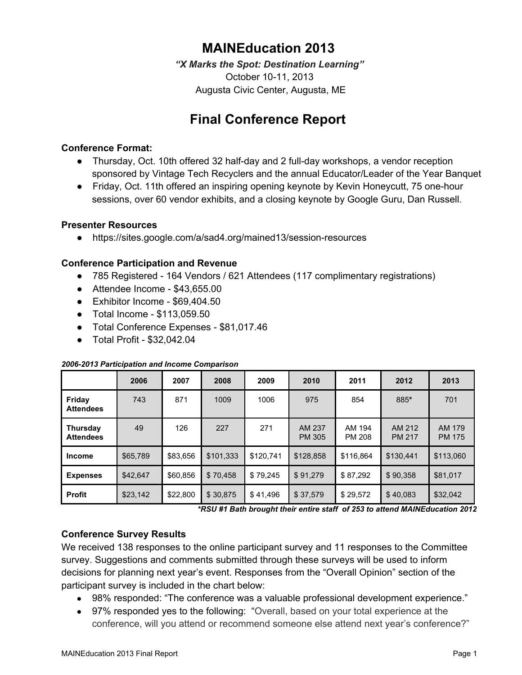## **MAINEducation 2013**

*"X Marks the Spot: Destination Learning"* October 10-11, 2013 Augusta Civic Center, Augusta, ME

# **Final Conference Report**

#### **Conference Format:**

- Thursday, Oct. 10th offered 32 half-day and 2 full-day workshops, a vendor reception sponsored by Vintage Tech Recyclers and the annual Educator/Leader of the Year Banquet
- Friday, Oct. 11th offered an inspiring opening keynote by Kevin Honeycutt, 75 one-hour sessions, over 60 vendor exhibits, and a closing keynote by Google Guru, Dan Russell.

#### **Presenter Resources**

• https://sites.google.com/a/sad4.org/mained13/session-resources

### **Conference Participation and Revenue**

- 785 Registered 164 Vendors / 621 Attendees (117 complimentary registrations)
- $\bullet$  Attendee Income \$43,655.00
- $\bullet$  Exhibitor Income \$69,404.50
- Total Income \$113,059.50
- Total Conference Expenses \$81,017.46
- $\bullet$  Total Profit \$32,042.04

#### *20062013 Participation and Income Comparison*

|                              | 2006     | 2007     | 2008      | 2009      | 2010                    | 2011             | 2012                    | 2013                    |
|------------------------------|----------|----------|-----------|-----------|-------------------------|------------------|-------------------------|-------------------------|
| Friday<br><b>Attendees</b>   | 743      | 871      | 1009      | 1006      | 975                     | 854              | 885*                    | 701                     |
| Thursday<br><b>Attendees</b> | 49       | 126      | 227       | 271       | AM 237<br><b>PM 305</b> | AM 194<br>PM 208 | AM 212<br><b>PM 217</b> | AM 179<br><b>PM 175</b> |
| <b>Income</b>                | \$65,789 | \$83,656 | \$101,333 | \$120,741 | \$128,858               | \$116,864        | \$130.441               | \$113,060               |
| <b>Expenses</b>              | \$42.647 | \$60,856 | \$70.458  | \$79,245  | \$91.279                | \$87,292         | \$90.358                | \$81,017                |
| <b>Profit</b>                | \$23,142 | \$22,800 | \$30,875  | \$41,496  | \$37,579                | \$29,572         | \$40,083                | \$32,042                |

*\*RSU #1 Bath brought their entire staff of 253 to attend MAINEducation 2012*

### **Conference Survey Results**

We received 138 responses to the online participant survey and 11 responses to the Committee survey. Suggestions and comments submitted through these surveys will be used to inform decisions for planning next year's event. Responses from the "Overall Opinion" section of the participant survey is included in the chart below:

- 98% responded: "The conference was a valuable professional development experience."
- 97% responded yes to the following: "Overall, based on your total experience at the conference, will you attend or recommend someone else attend next year's conference?"